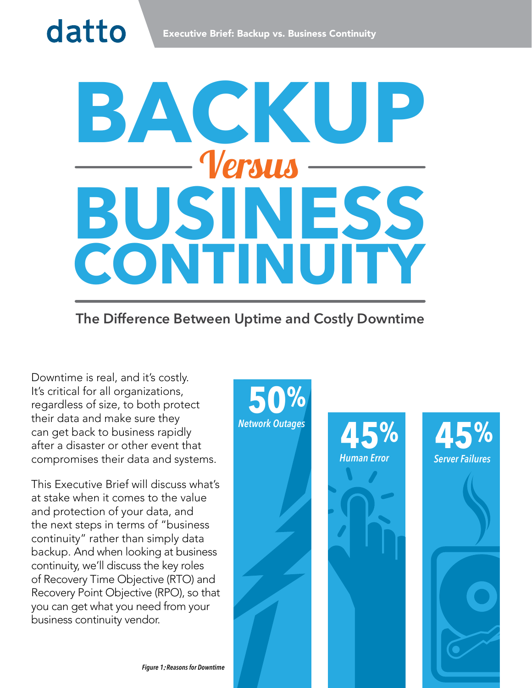# **BACKUP BUSINESS CONTINUITY** Versus

# **The Difference Between Uptime and Costly Downtime**

Downtime is real, and it's costly. It's critical for all organizations, regardless of size, to both protect their data and make sure they can get back to business rapidly after a disaster or other event that compromises their data and systems.

datto

This Executive Brief will discuss what's at stake when it comes to the value and protection of your data, and the next steps in terms of "business continuity" rather than simply data backup. And when looking at business continuity, we'll discuss the key roles of Recovery Time Objective (RTO) and Recovery Point Objective (RPO), so that you can get what you need from your business continuity vendor.

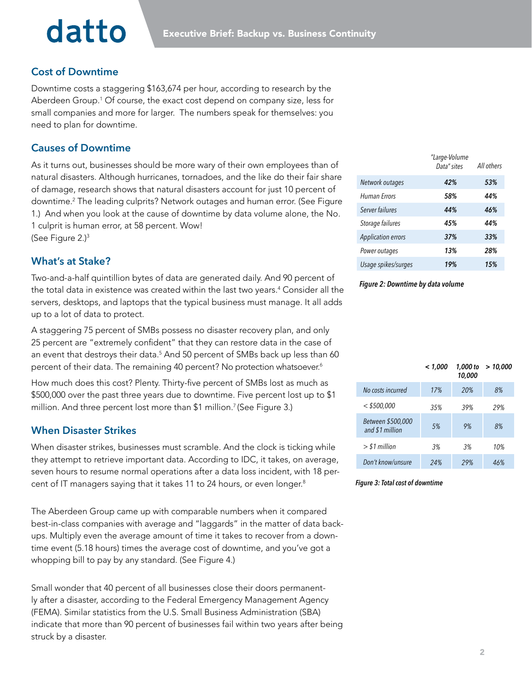# datto

# **Cost of Downtime**

Downtime costs a staggering \$163,674 per hour, according to research by the Aberdeen Group.<sup>1</sup> Of course, the exact cost depend on company size, less for small companies and more for larger. The numbers speak for themselves: you need to plan for downtime.

# **Causes of Downtime**

As it turns out, businesses should be more wary of their own employees than of natural disasters. Although hurricanes, tornadoes, and the like do their fair share of damage, research shows that natural disasters account for just 10 percent of downtime.2 The leading culprits? Network outages and human error. (See Figure 1.) And when you look at the cause of downtime by data volume alone, the No. 1 culprit is human error, at 58 percent. Wow! (See Figure 2.)3

# **What's at Stake?**

Two-and-a-half quintillion bytes of data are generated daily. And 90 percent of the total data in existence was created within the last two years.4 Consider all the servers, desktops, and laptops that the typical business must manage. It all adds up to a lot of data to protect.

A staggering 75 percent of SMBs possess no disaster recovery plan, and only 25 percent are "extremely confident" that they can restore data in the case of an event that destroys their data.<sup>5</sup> And 50 percent of SMBs back up less than 60 percent of their data. The remaining 40 percent? No protection whatsoever.<sup>6</sup>

How much does this cost? Plenty. Thirty-five percent of SMBs lost as much as \$500,000 over the past three years due to downtime. Five percent lost up to \$1 million. And three percent lost more than \$1 million.<sup>7</sup> (See Figure 3.)

## **When Disaster Strikes**

When disaster strikes, businesses must scramble. And the clock is ticking while they attempt to retrieve important data. According to IDC, it takes, on average, seven hours to resume normal operations after a data loss incident, with 18 percent of IT managers saying that it takes 11 to 24 hours, or even longer.<sup>8</sup>

The Aberdeen Group came up with comparable numbers when it compared best-in-class companies with average and "laggards" in the matter of data backups. Multiply even the average amount of time it takes to recover from a downtime event (5.18 hours) times the average cost of downtime, and you've got a whopping bill to pay by any standard. (See Figure 4.)

Small wonder that 40 percent of all businesses close their doors permanently after a disaster, according to the Federal Emergency Management Agency (FEMA). Similar statistics from the U.S. Small Business Administration (SBA) indicate that more than 90 percent of businesses fail within two years after being struck by a disaster.

|                           | "Large-Volume<br>Data" sites | All others |
|---------------------------|------------------------------|------------|
| Network outages           | 42%                          | 53%        |
| <b>Human Errors</b>       | 58%                          | 44%        |
| Server failures           | 44%                          | 46%        |
| Storage failures          | 45%                          | 44%        |
| <b>Application errors</b> | 37%                          | 33%        |
| Power outages             | 13%                          | 28%        |
| Usage spikes/surges       | 19%                          | 15%        |

#### *Figure 2: Downtime by data volume*

|                                      | < 1,000 | 1,000 to<br>10,000 | >10,000 |
|--------------------------------------|---------|--------------------|---------|
| No costs incurred                    | 17%     | 20%                | 8%      |
| $<$ \$500,000                        | 35%     | 39%                | 29%     |
| Between \$500,000<br>and \$1 million | 5%      | 9%                 | 8%      |
| $>$ \$1 million                      | 3%      | 3%                 | 10%     |
| Don't know/unsure                    | 24%     | 29%                | 46%     |

#### *Figure 3: Total cost of downtime*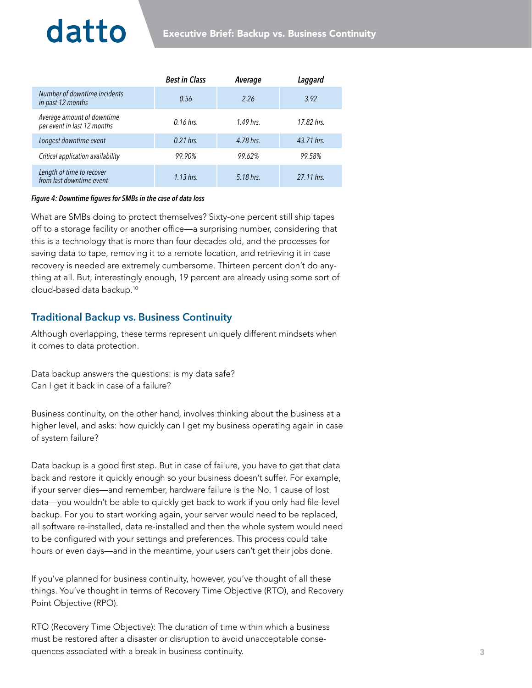# datto

|                                                           | <b>Best in Class</b> | Average     | Laggard    |
|-----------------------------------------------------------|----------------------|-------------|------------|
| Number of downtime incidents<br>in past 12 months         | 0.56                 | 2.26        | 3.92       |
| Average amount of downtime<br>per event in last 12 months | $0.16$ hrs.          | $1.49$ hrs. | 17.82 hrs. |
| Longest downtime event                                    | $0.21$ hrs.          | 4.78 hrs.   | 43.71 hrs. |
| Critical application availability                         | 99.90%               | 99.62%      | 99.58%     |
| Length of time to recover<br>from last downtime event     | 1.13 hrs.            | 5.18 hrs.   | 27.11 hrs. |

#### *Figure 4: Downtime figures for SMBs in the case of data loss*

What are SMBs doing to protect themselves? Sixty-one percent still ship tapes off to a storage facility or another office—a surprising number, considering that this is a technology that is more than four decades old, and the processes for saving data to tape, removing it to a remote location, and retrieving it in case recovery is needed are extremely cumbersome. Thirteen percent don't do anything at all. But, interestingly enough, 19 percent are already using some sort of cloud-based data backup.10

## **Traditional Backup vs. Business Continuity**

Although overlapping, these terms represent uniquely different mindsets when it comes to data protection.

Data backup answers the questions: is my data safe? Can I get it back in case of a failure?

Business continuity, on the other hand, involves thinking about the business at a higher level, and asks: how quickly can I get my business operating again in case of system failure?

Data backup is a good first step. But in case of failure, you have to get that data back and restore it quickly enough so your business doesn't suffer. For example, if your server dies—and remember, hardware failure is the No. 1 cause of lost data—you wouldn't be able to quickly get back to work if you only had file-level backup. For you to start working again, your server would need to be replaced, all software re-installed, data re-installed and then the whole system would need to be configured with your settings and preferences. This process could take hours or even days—and in the meantime, your users can't get their jobs done.

If you've planned for business continuity, however, you've thought of all these things. You've thought in terms of Recovery Time Objective (RTO), and Recovery Point Objective (RPO).

RTO (Recovery Time Objective): The duration of time within which a business must be restored after a disaster or disruption to avoid unacceptable consequences associated with a break in business continuity.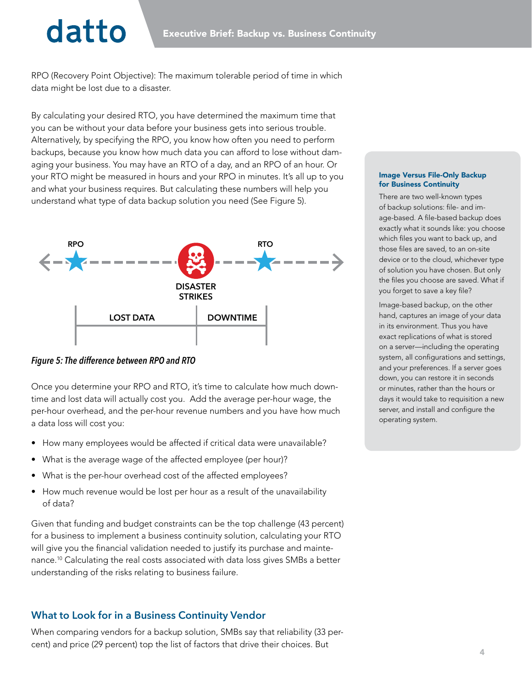# datto

RPO (Recovery Point Objective): The maximum tolerable period of time in which data might be lost due to a disaster.

By calculating your desired RTO, you have determined the maximum time that you can be without your data before your business gets into serious trouble. Alternatively, by specifying the RPO, you know how often you need to perform backups, because you know how much data you can afford to lose without damaging your business. You may have an RTO of a day, and an RPO of an hour. Or your RTO might be measured in hours and your RPO in minutes. It's all up to you and what your business requires. But calculating these numbers will help you understand what type of data backup solution you need (See Figure 5).



*Figure 5: The difference between RPO and RTO*

Once you determine your RPO and RTO, it's time to calculate how much downtime and lost data will actually cost you. Add the average per-hour wage, the per-hour overhead, and the per-hour revenue numbers and you have how much a data loss will cost you:

- How many employees would be affected if critical data were unavailable?
- What is the average wage of the affected employee (per hour)?
- What is the per-hour overhead cost of the affected employees?
- How much revenue would be lost per hour as a result of the unavailability of data?

Given that funding and budget constraints can be the top challenge (43 percent) for a business to implement a business continuity solution, calculating your RTO will give you the financial validation needed to justify its purchase and maintenance.10 Calculating the real costs associated with data loss gives SMBs a better understanding of the risks relating to business failure.

## **What to Look for in a Business Continuity Vendor**

When comparing vendors for a backup solution, SMBs say that reliability (33 percent) and price (29 percent) top the list of factors that drive their choices. But

#### Image Versus File-Only Backup for Business Continuity

There are two well-known types of backup solutions: file- and image-based. A file-based backup does exactly what it sounds like: you choose which files you want to back up, and those files are saved, to an on-site device or to the cloud, whichever type of solution you have chosen. But only the files you choose are saved. What if you forget to save a key file?

Image-based backup, on the other hand, captures an image of your data in its environment. Thus you have exact replications of what is stored on a server—including the operating system, all configurations and settings, and your preferences. If a server goes down, you can restore it in seconds or minutes, rather than the hours or days it would take to requisition a new server, and install and configure the operating system.